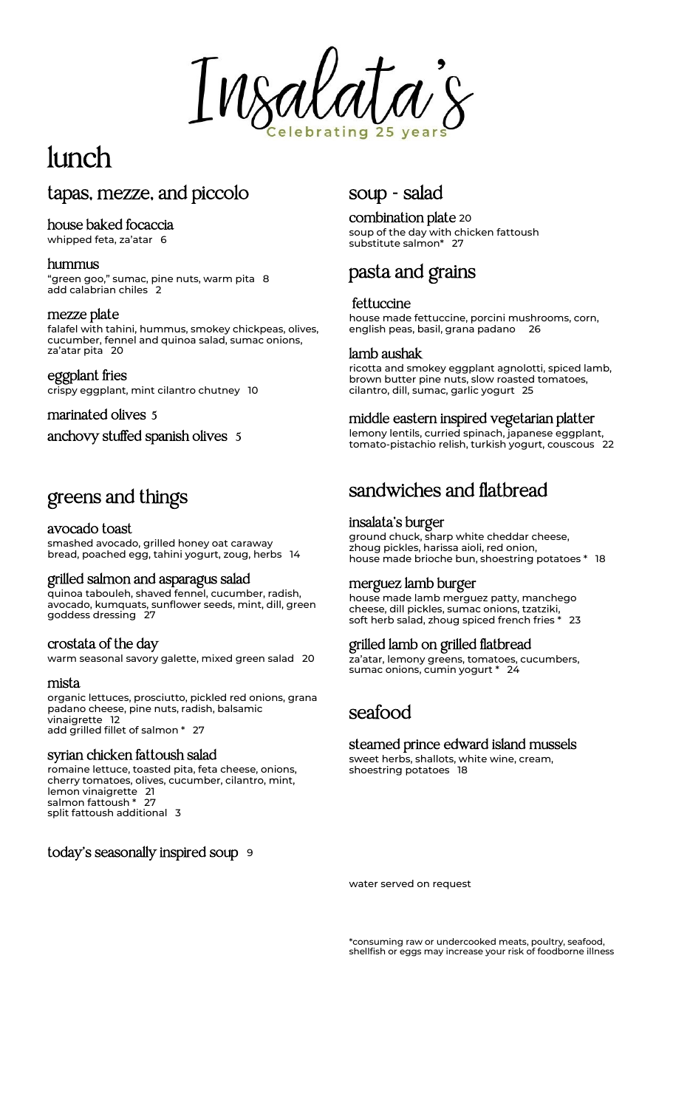Insalat

# lunch

# tapas, mezze, and piccolo

#### house baked focaccia

whipped feta, za'atar 6

#### hummus

"green goo," sumac, pine nuts, warm pita 8 add calabrian chiles 2

#### mezze plate

falafel with tahini, hummus, smokey chickpeas, olives, cucumber, fennel and quinoa salad, sumac onions, za'atar pita 20

#### eggplant fries

crispy eggplant, mint cilantro chutney 10

#### marinated olives 5

anchovy stuffed spanish olives 5

# greens and things

#### avocado toast

smashed avocado, grilled honey oat caraway bread, poached egg, tahini yogurt, zoug, herbs 14

#### grilled salmon and asparagus salad

quinoa tabouleh, shaved fennel, cucumber, radish, avocado, kumquats, sunflower seeds, mint, dill, green goddess dressing 27

#### crostata of the day

warm seasonal savory galette, mixed green salad 20

#### mista

organic lettuces, prosciutto, pickled red onions, grana padano cheese, pine nuts, radish, balsamic .<br>vinaigrette 12 add grilled fillet of salmon \* 27

#### syrian chicken fattoush salad

romaine lettuce, toasted pita, feta cheese, onions, cherry tomatoes, olives, cucumber, cilantro, mint, lemon vinaigrette 21 salmon fattoush \* 27 split fattoush additional 3

today's seasonally inspired soup 9

# soup - salad

combination plate <sup>20</sup> soup of the day with chicken fattoush substitute salmon\* 27

# pasta and grains

#### fettuccine

house made fettuccine, porcini mushrooms, corn, english peas, basil, grana padano 26

#### lamb aushak

ricotta and smokey eggplant agnolotti, spiced lamb, brown butter pine nuts, slow roasted tomatoes, cilantro, dill, sumac, garlic yogurt <sup>25</sup>

#### middle eastern inspired vegetarian platter

lemony lentils, curried spinach, japanese eggplant, tomato-pistachio relish, turkish yogurt, couscous 22

# sandwiches and flatbread

#### insalata's burger

ground chuck, sharp white cheddar cheese, zhoug pickles, harissa aioli, red onion, house made brioche bun, shoestring potatoes \* 18

#### merguez lamb burger

house made lamb merguez patty, manchego cheese, dill pickles, sumac onions, tzatziki, soft herb salad, zhoug spiced french fries \* 23

#### grilled lamb on grilled flatbread

za'atar, lemony greens, tomatoes, cucumbers, sumac onions, cumin yogurt \* 24

## seafood

### steamed prince edward island mussels

sweet herbs, shallots, white wine, cream, shoestring potatoes 18

water served on request

\*consuming raw or undercooked meats, poultry, seafood, shellfish or eggs may increase your risk of foodborne illness